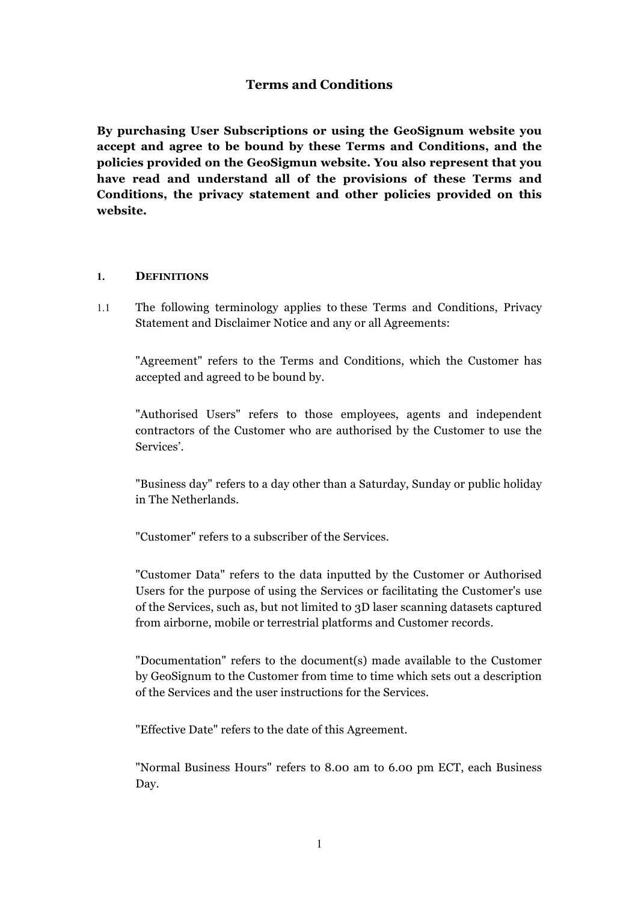# **Terms and Conditions**

**By purchasing User Subscriptions or using the GeoSignum website you accept and agree to be bound by these Terms and Conditions, and the policies provided on the GeoSigmun website. You also represent that you have read and understand all of the provisions of these Terms and Conditions, the privacy statement and other policies provided on this website.**

#### **1. DEFINITIONS**

1.1 The following terminology applies to these Terms and Conditions, Privacy Statement and Disclaimer Notice and any or all Agreements:

"Agreement" refers to the Terms and Conditions, which the Customer has accepted and agreed to be bound by.

"Authorised Users" refers to those employees, agents and independent contractors of the Customer who are authorised by the Customer to use the Services'.

"Business day" refers to a day other than a Saturday, Sunday or public holiday in The Netherlands.

"Customer" refers to a subscriber of the Services.

"Customer Data" refers to the data inputted by the Customer or Authorised Users for the purpose of using the Services or facilitating the Customer's use of the Services, such as, but not limited to 3D laser scanning datasets captured from airborne, mobile or terrestrial platforms and Customer records.

"Documentation" refers to the document(s) made available to the Customer by GeoSignum to the Customer from time to time which sets out a description of the Services and the user instructions for the Services.

"Effective Date" refers to the date of this Agreement.

"Normal Business Hours" refers to 8.00 am to 6.00 pm ECT, each Business Day.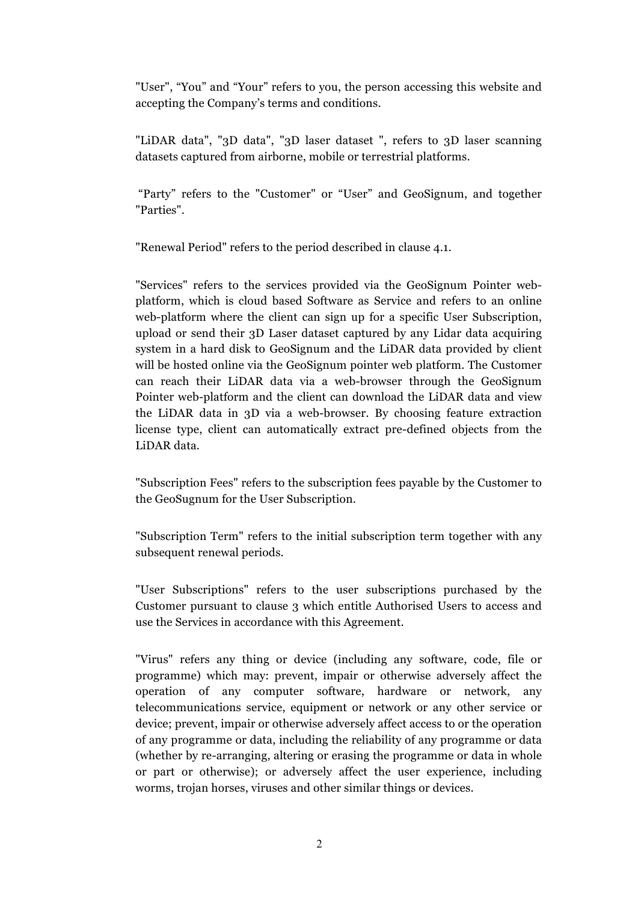"User", "You" and "Your" refers to you, the person accessing this website and accepting the Company's terms and conditions.

"LiDAR data", "3D data", "3D laser dataset ", refers to 3D laser scanning datasets captured from airborne, mobile or terrestrial platforms.

"Party" refers to the "Customer" or "User" and GeoSignum, and together "Parties".

"Renewal Period" refers to the period described in clause 4.1.

"Services" refers to the services provided via the GeoSignum Pointer webplatform, which is cloud based Software as Service and refers to an online web-platform where the client can sign up for a specific User Subscription, upload or send their 3D Laser dataset captured by any Lidar data acquiring system in a hard disk to GeoSignum and the LiDAR data provided by client will be hosted online via the GeoSignum pointer web platform. The Customer can reach their LiDAR data via a web-browser through the GeoSignum Pointer web-platform and the client can download the LiDAR data and view the LiDAR data in 3D via a web-browser. By choosing feature extraction license type, client can automatically extract pre-defined objects from the LiDAR data.

"Subscription Fees" refers to the subscription fees payable by the Customer to the GeoSugnum for the User Subscription.

"Subscription Term" refers to the initial subscription term together with any subsequent renewal periods.

"User Subscriptions" refers to the user subscriptions purchased by the Customer pursuant to clause 3 which entitle Authorised Users to access and use the Services in accordance with this Agreement.

"Virus" refers any thing or device (including any software, code, file or programme) which may: prevent, impair or otherwise adversely affect the operation of any computer software, hardware or network, any telecommunications service, equipment or network or any other service or device; prevent, impair or otherwise adversely affect access to or the operation of any programme or data, including the reliability of any programme or data (whether by re-arranging, altering or erasing the programme or data in whole or part or otherwise); or adversely affect the user experience, including worms, trojan horses, viruses and other similar things or devices.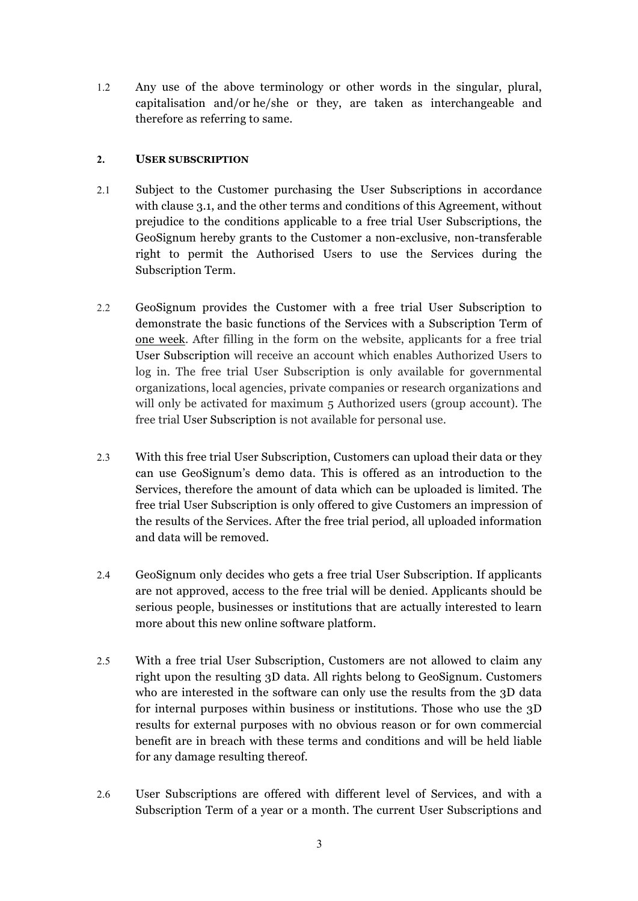1.2 Any use of the above terminology or other words in the singular, plural, capitalisation and/or he/she or they, are taken as interchangeable and therefore as referring to same.

# **2. USER SUBSCRIPTION**

- 2.1 Subject to the Customer purchasing the User Subscriptions in accordance with clause 3.1, and the other terms and conditions of this Agreement, without prejudice to the conditions applicable to a free trial User Subscriptions, the GeoSignum hereby grants to the Customer a non-exclusive, non-transferable right to permit the Authorised Users to use the Services during the Subscription Term.
- 2.2 GeoSignum provides the Customer with a free trial User Subscription to demonstrate the basic functions of the Services with a Subscription Term of one week. After filling in the form on the website, applicants for a free trial User Subscription will receive an account which enables Authorized Users to log in. The free trial User Subscription is only available for governmental organizations, local agencies, private companies or research organizations and will only be activated for maximum 5 Authorized users (group account). The free trial User Subscription is not available for personal use.
- 2.3 With this free trial User Subscription, Customers can upload their data or they can use GeoSignum's demo data. This is offered as an introduction to the Services, therefore the amount of data which can be uploaded is limited. The free trial User Subscription is only offered to give Customers an impression of the results of the Services. After the free trial period, all uploaded information and data will be removed.
- 2.4 GeoSignum only decides who gets a free trial User Subscription. If applicants are not approved, access to the free trial will be denied. Applicants should be serious people, businesses or institutions that are actually interested to learn more about this new online software platform.
- 2.5 With a free trial User Subscription, Customers are not allowed to claim any right upon the resulting 3D data. All rights belong to GeoSignum. Customers who are interested in the software can only use the results from the 3D data for internal purposes within business or institutions. Those who use the 3D results for external purposes with no obvious reason or for own commercial benefit are in breach with these terms and conditions and will be held liable for any damage resulting thereof.
- 2.6 User Subscriptions are offered with different level of Services, and with a Subscription Term of a year or a month. The current User Subscriptions and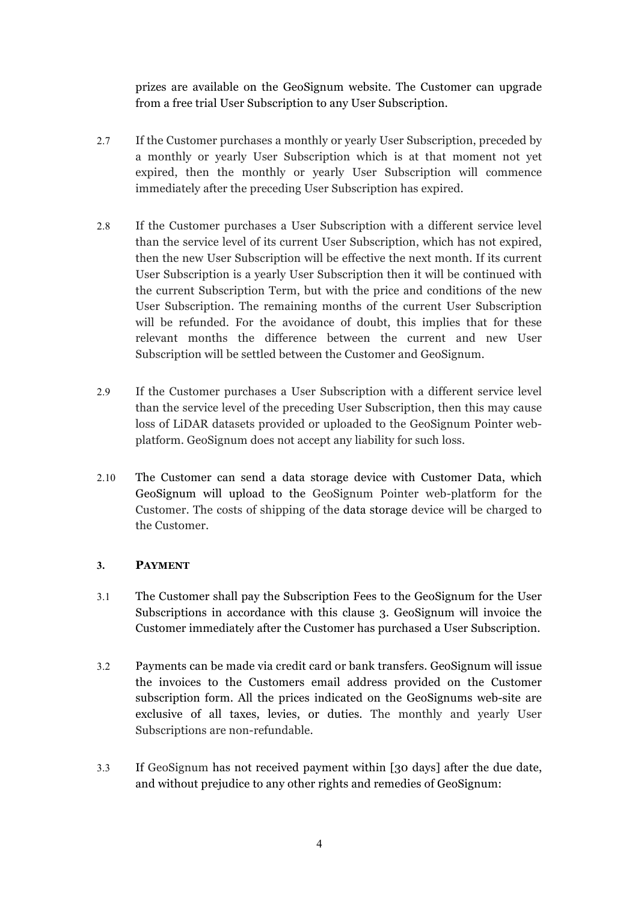prizes are available on the GeoSignum website. The Customer can upgrade from a free trial User Subscription to any User Subscription.

- 2.7 If the Customer purchases a monthly or yearly User Subscription, preceded by a monthly or yearly User Subscription which is at that moment not yet expired, then the monthly or yearly User Subscription will commence immediately after the preceding User Subscription has expired.
- 2.8 If the Customer purchases a User Subscription with a different service level than the service level of its current User Subscription, which has not expired, then the new User Subscription will be effective the next month. If its current User Subscription is a yearly User Subscription then it will be continued with the current Subscription Term, but with the price and conditions of the new User Subscription. The remaining months of the current User Subscription will be refunded. For the avoidance of doubt, this implies that for these relevant months the difference between the current and new User Subscription will be settled between the Customer and GeoSignum.
- 2.9 If the Customer purchases a User Subscription with a different service level than the service level of the preceding User Subscription, then this may cause loss of LiDAR datasets provided or uploaded to the GeoSignum Pointer webplatform. GeoSignum does not accept any liability for such loss.
- 2.10 The Customer can send a data storage device with Customer Data, which GeoSignum will upload to the GeoSignum Pointer web-platform for the Customer. The costs of shipping of the data storage device will be charged to the Customer.

# **3. PAYMENT**

- 3.1 The Customer shall pay the Subscription Fees to the GeoSignum for the User Subscriptions in accordance with this clause 3. GeoSignum will invoice the Customer immediately after the Customer has purchased a User Subscription.
- 3.2 Payments can be made via credit card or bank transfers. GeoSignum will issue the invoices to the Customers email address provided on the Customer subscription form. All the prices indicated on the GeoSignums web-site are exclusive of all taxes, levies, or duties. The monthly and yearly User Subscriptions are non-refundable.
- 3.3 If GeoSignum has not received payment within [30 days] after the due date, and without prejudice to any other rights and remedies of GeoSignum: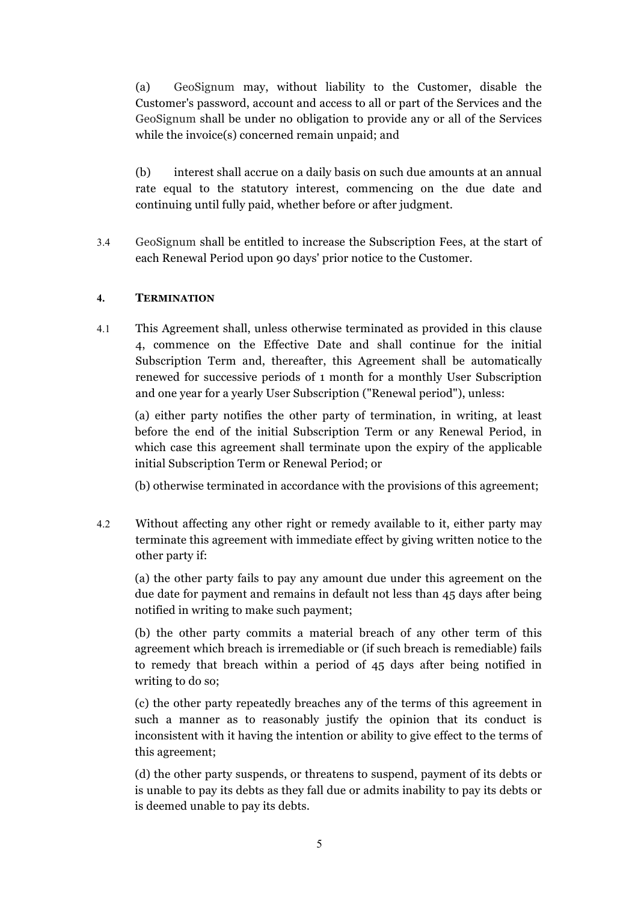(a) GeoSignum may, without liability to the Customer, disable the Customer's password, account and access to all or part of the Services and the GeoSignum shall be under no obligation to provide any or all of the Services while the invoice(s) concerned remain unpaid; and

(b) interest shall accrue on a daily basis on such due amounts at an annual rate equal to the statutory interest, commencing on the due date and continuing until fully paid, whether before or after judgment.

3.4 GeoSignum shall be entitled to increase the Subscription Fees, at the start of each Renewal Period upon 90 days' prior notice to the Customer.

# **4. TERMINATION**

4.1 This Agreement shall, unless otherwise terminated as provided in this clause 4, commence on the Effective Date and shall continue for the initial Subscription Term and, thereafter, this Agreement shall be automatically renewed for successive periods of 1 month for a monthly User Subscription and one year for a yearly User Subscription ("Renewal period"), unless:

(a) either party notifies the other party of termination, in writing, at least before the end of the initial Subscription Term or any Renewal Period, in which case this agreement shall terminate upon the expiry of the applicable initial Subscription Term or Renewal Period; or

(b) otherwise terminated in accordance with the provisions of this agreement;

4.2 Without affecting any other right or remedy available to it, either party may terminate this agreement with immediate effect by giving written notice to the other party if:

(a) the other party fails to pay any amount due under this agreement on the due date for payment and remains in default not less than 45 days after being notified in writing to make such payment;

(b) the other party commits a material breach of any other term of this agreement which breach is irremediable or (if such breach is remediable) fails to remedy that breach within a period of 45 days after being notified in writing to do so;

(c) the other party repeatedly breaches any of the terms of this agreement in such a manner as to reasonably justify the opinion that its conduct is inconsistent with it having the intention or ability to give effect to the terms of this agreement;

(d) the other party suspends, or threatens to suspend, payment of its debts or is unable to pay its debts as they fall due or admits inability to pay its debts or is deemed unable to pay its debts.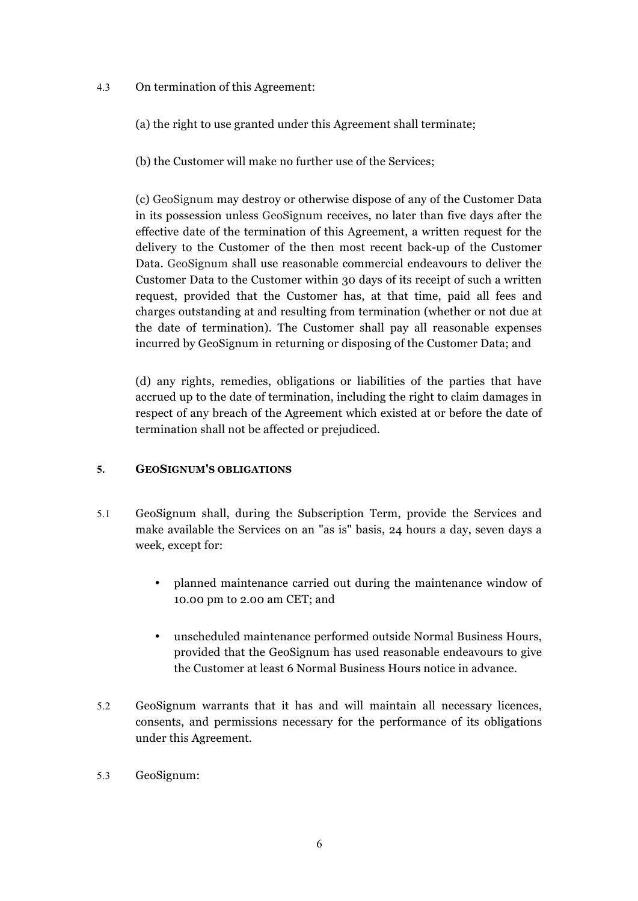- 4.3 On termination of this Agreement:
	- (a) the right to use granted under this Agreement shall terminate;
	- (b) the Customer will make no further use of the Services;

(c) GeoSignum may destroy or otherwise dispose of any of the Customer Data in its possession unless GeoSignum receives, no later than five days after the effective date of the termination of this Agreement, a written request for the delivery to the Customer of the then most recent back-up of the Customer Data. GeoSignum shall use reasonable commercial endeavours to deliver the Customer Data to the Customer within 30 days of its receipt of such a written request, provided that the Customer has, at that time, paid all fees and charges outstanding at and resulting from termination (whether or not due at the date of termination). The Customer shall pay all reasonable expenses incurred by GeoSignum in returning or disposing of the Customer Data; and

(d) any rights, remedies, obligations or liabilities of the parties that have accrued up to the date of termination, including the right to claim damages in respect of any breach of the Agreement which existed at or before the date of termination shall not be affected or prejudiced.

# **5. GEOSIGNUM'S OBLIGATIONS**

- 5.1 GeoSignum shall, during the Subscription Term, provide the Services and make available the Services on an "as is" basis, 24 hours a day, seven days a week, except for:
	- planned maintenance carried out during the maintenance window of 10.00 pm to 2.00 am CET; and
	- unscheduled maintenance performed outside Normal Business Hours, provided that the GeoSignum has used reasonable endeavours to give the Customer at least 6 Normal Business Hours notice in advance.
- 5.2 GeoSignum warrants that it has and will maintain all necessary licences, consents, and permissions necessary for the performance of its obligations under this Agreement.
- 5.3 GeoSignum: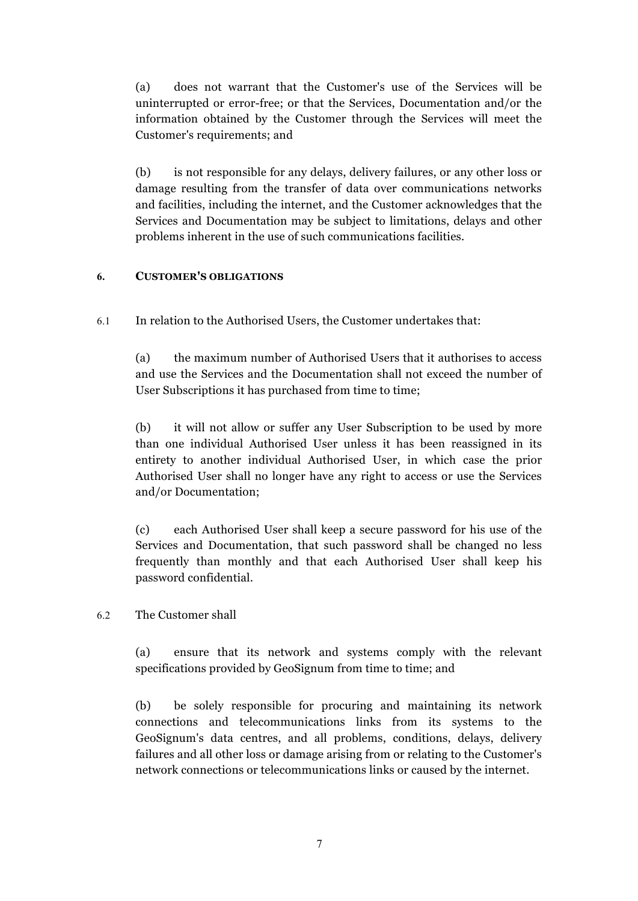(a) does not warrant that the Customer's use of the Services will be uninterrupted or error-free; or that the Services, Documentation and/or the information obtained by the Customer through the Services will meet the Customer's requirements; and

(b) is not responsible for any delays, delivery failures, or any other loss or damage resulting from the transfer of data over communications networks and facilities, including the internet, and the Customer acknowledges that the Services and Documentation may be subject to limitations, delays and other problems inherent in the use of such communications facilities.

# **6. CUSTOMER'S OBLIGATIONS**

6.1 In relation to the Authorised Users, the Customer undertakes that:

(a) the maximum number of Authorised Users that it authorises to access and use the Services and the Documentation shall not exceed the number of User Subscriptions it has purchased from time to time;

(b) it will not allow or suffer any User Subscription to be used by more than one individual Authorised User unless it has been reassigned in its entirety to another individual Authorised User, in which case the prior Authorised User shall no longer have any right to access or use the Services and/or Documentation;

(c) each Authorised User shall keep a secure password for his use of the Services and Documentation, that such password shall be changed no less frequently than monthly and that each Authorised User shall keep his password confidential.

6.2 The Customer shall

(a) ensure that its network and systems comply with the relevant specifications provided by GeoSignum from time to time; and

(b) be solely responsible for procuring and maintaining its network connections and telecommunications links from its systems to the GeoSignum's data centres, and all problems, conditions, delays, delivery failures and all other loss or damage arising from or relating to the Customer's network connections or telecommunications links or caused by the internet.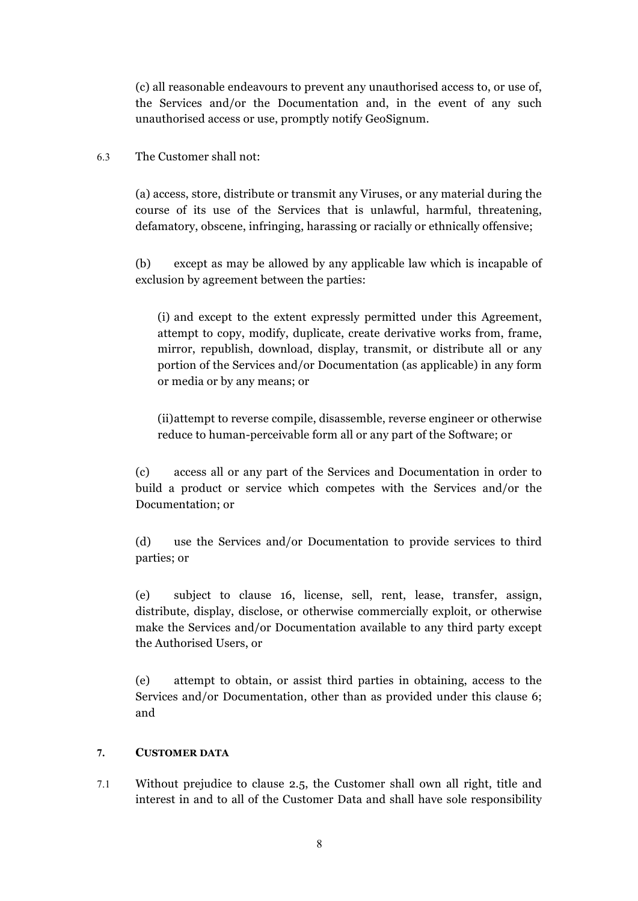(c) all reasonable endeavours to prevent any unauthorised access to, or use of, the Services and/or the Documentation and, in the event of any such unauthorised access or use, promptly notify GeoSignum.

#### 6.3 The Customer shall not:

(a) access, store, distribute or transmit any Viruses, or any material during the course of its use of the Services that is unlawful, harmful, threatening, defamatory, obscene, infringing, harassing or racially or ethnically offensive;

(b) except as may be allowed by any applicable law which is incapable of exclusion by agreement between the parties:

(i) and except to the extent expressly permitted under this Agreement, attempt to copy, modify, duplicate, create derivative works from, frame, mirror, republish, download, display, transmit, or distribute all or any portion of the Services and/or Documentation (as applicable) in any form or media or by any means; or

(ii)attempt to reverse compile, disassemble, reverse engineer or otherwise reduce to human-perceivable form all or any part of the Software; or

(c) access all or any part of the Services and Documentation in order to build a product or service which competes with the Services and/or the Documentation; or

(d) use the Services and/or Documentation to provide services to third parties; or

(e) subject to clause 16, license, sell, rent, lease, transfer, assign, distribute, display, disclose, or otherwise commercially exploit, or otherwise make the Services and/or Documentation available to any third party except the Authorised Users, or

(e) attempt to obtain, or assist third parties in obtaining, access to the Services and/or Documentation, other than as provided under this clause 6; and

#### **7. CUSTOMER DATA**

7.1 Without prejudice to clause 2.5, the Customer shall own all right, title and interest in and to all of the Customer Data and shall have sole responsibility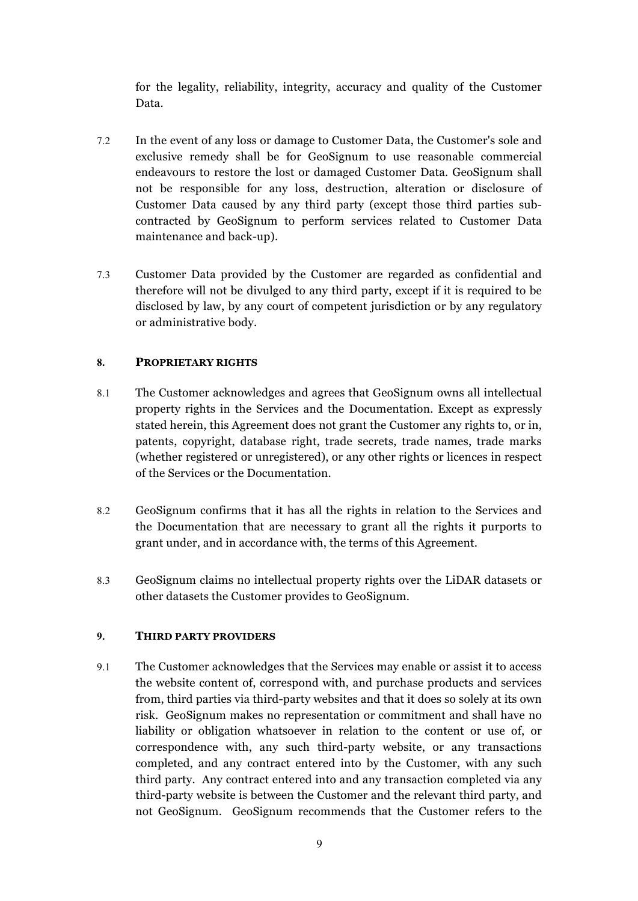for the legality, reliability, integrity, accuracy and quality of the Customer Data.

- 7.2 In the event of any loss or damage to Customer Data, the Customer's sole and exclusive remedy shall be for GeoSignum to use reasonable commercial endeavours to restore the lost or damaged Customer Data. GeoSignum shall not be responsible for any loss, destruction, alteration or disclosure of Customer Data caused by any third party (except those third parties subcontracted by GeoSignum to perform services related to Customer Data maintenance and back-up).
- 7.3 Customer Data provided by the Customer are regarded as confidential and therefore will not be divulged to any third party, except if it is required to be disclosed by law, by any court of competent jurisdiction or by any regulatory or administrative body.

#### **8. PROPRIETARY RIGHTS**

- 8.1 The Customer acknowledges and agrees that GeoSignum owns all intellectual property rights in the Services and the Documentation. Except as expressly stated herein, this Agreement does not grant the Customer any rights to, or in, patents, copyright, database right, trade secrets, trade names, trade marks (whether registered or unregistered), or any other rights or licences in respect of the Services or the Documentation.
- 8.2 GeoSignum confirms that it has all the rights in relation to the Services and the Documentation that are necessary to grant all the rights it purports to grant under, and in accordance with, the terms of this Agreement.
- 8.3 GeoSignum claims no intellectual property rights over the LiDAR datasets or other datasets the Customer provides to GeoSignum.

# **9. THIRD PARTY PROVIDERS**

9.1 The Customer acknowledges that the Services may enable or assist it to access the website content of, correspond with, and purchase products and services from, third parties via third-party websites and that it does so solely at its own risk. GeoSignum makes no representation or commitment and shall have no liability or obligation whatsoever in relation to the content or use of, or correspondence with, any such third-party website, or any transactions completed, and any contract entered into by the Customer, with any such third party. Any contract entered into and any transaction completed via any third-party website is between the Customer and the relevant third party, and not GeoSignum. GeoSignum recommends that the Customer refers to the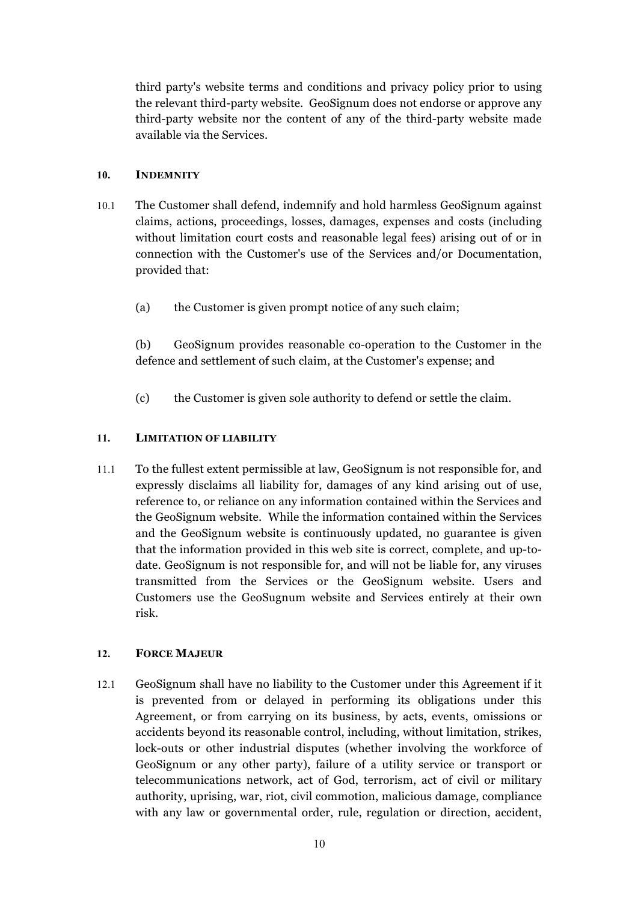third party's website terms and conditions and privacy policy prior to using the relevant third-party website. GeoSignum does not endorse or approve any third-party website nor the content of any of the third-party website made available via the Services.

### **10. INDEMNITY**

- 10.1 The Customer shall defend, indemnify and hold harmless GeoSignum against claims, actions, proceedings, losses, damages, expenses and costs (including without limitation court costs and reasonable legal fees) arising out of or in connection with the Customer's use of the Services and/or Documentation, provided that:
	- (a) the Customer is given prompt notice of any such claim;

(b) GeoSignum provides reasonable co-operation to the Customer in the defence and settlement of such claim, at the Customer's expense; and

(c) the Customer is given sole authority to defend or settle the claim.

#### **11. LIMITATION OF LIABILITY**

11.1 To the fullest extent permissible at law, GeoSignum is not responsible for, and expressly disclaims all liability for, damages of any kind arising out of use, reference to, or reliance on any information contained within the Services and the GeoSignum website. While the information contained within the Services and the GeoSignum website is continuously updated, no guarantee is given that the information provided in this web site is correct, complete, and up-todate. GeoSignum is not responsible for, and will not be liable for, any viruses transmitted from the Services or the GeoSignum website. Users and Customers use the GeoSugnum website and Services entirely at their own risk.

#### **12. FORCE MAJEUR**

12.1 GeoSignum shall have no liability to the Customer under this Agreement if it is prevented from or delayed in performing its obligations under this Agreement, or from carrying on its business, by acts, events, omissions or accidents beyond its reasonable control, including, without limitation, strikes, lock-outs or other industrial disputes (whether involving the workforce of GeoSignum or any other party), failure of a utility service or transport or telecommunications network, act of God, terrorism, act of civil or military authority, uprising, war, riot, civil commotion, malicious damage, compliance with any law or governmental order, rule, regulation or direction, accident,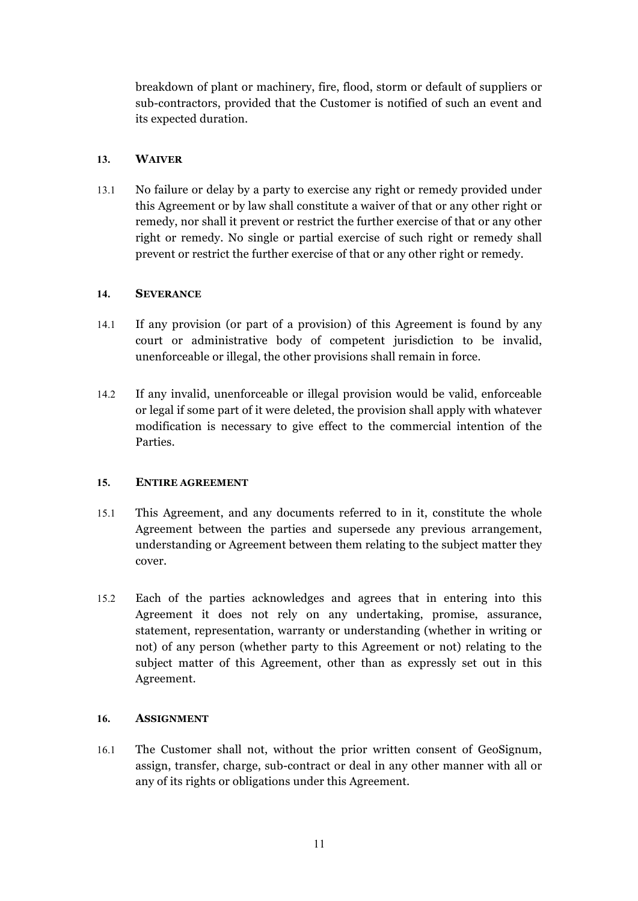breakdown of plant or machinery, fire, flood, storm or default of suppliers or sub-contractors, provided that the Customer is notified of such an event and its expected duration.

# **13. WAIVER**

13.1 No failure or delay by a party to exercise any right or remedy provided under this Agreement or by law shall constitute a waiver of that or any other right or remedy, nor shall it prevent or restrict the further exercise of that or any other right or remedy. No single or partial exercise of such right or remedy shall prevent or restrict the further exercise of that or any other right or remedy.

#### **14. SEVERANCE**

- 14.1 If any provision (or part of a provision) of this Agreement is found by any court or administrative body of competent jurisdiction to be invalid, unenforceable or illegal, the other provisions shall remain in force.
- 14.2 If any invalid, unenforceable or illegal provision would be valid, enforceable or legal if some part of it were deleted, the provision shall apply with whatever modification is necessary to give effect to the commercial intention of the Parties.

# **15. ENTIRE AGREEMENT**

- 15.1 This Agreement, and any documents referred to in it, constitute the whole Agreement between the parties and supersede any previous arrangement, understanding or Agreement between them relating to the subject matter they cover.
- 15.2 Each of the parties acknowledges and agrees that in entering into this Agreement it does not rely on any undertaking, promise, assurance, statement, representation, warranty or understanding (whether in writing or not) of any person (whether party to this Agreement or not) relating to the subject matter of this Agreement, other than as expressly set out in this Agreement.

#### **16. ASSIGNMENT**

16.1 The Customer shall not, without the prior written consent of GeoSignum, assign, transfer, charge, sub-contract or deal in any other manner with all or any of its rights or obligations under this Agreement.